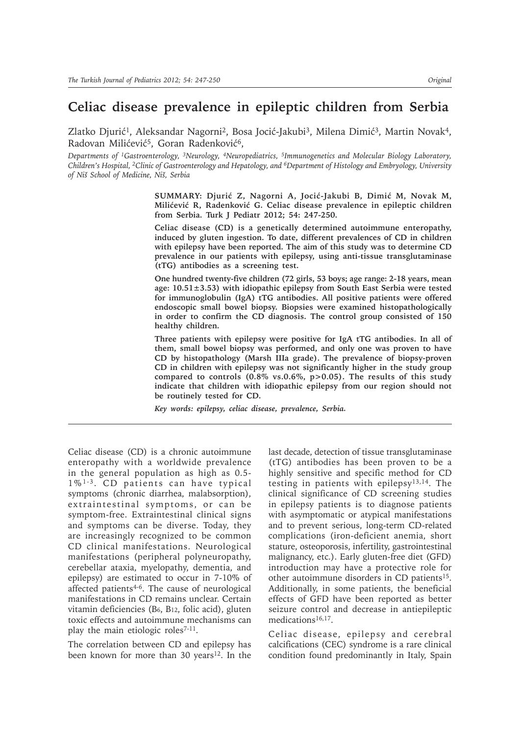# **Celiac disease prevalence in epileptic children from Serbia**

Zlatko Djurić<sup>1</sup>, Aleksandar Nagorni<sup>2</sup>, Bosa Jocić-Jakubi<sup>3</sup>, Milena Dimić<sup>3</sup>, Martin Novak<sup>4</sup>, Radovan Milićević<sup>5</sup>, Goran Radenković<sup>6</sup>,

*Departments of 1Gastroenterology, 3Neurology, 4Neuropediatrics, 5Immunogenetics and Molecular Biology Laboratory, Children's Hospital, 2Clinic of Gastroenterology and Hepatology, and 6Department of Histology and Embryology, University of Niš School of Medicine, Niš, Serbia* 

> **SUMMARY: Djuriþ Z, Nagorni A, Jociþ-Jakubi B, Dimiþ M, Novak M, Miliþeviþ R, Radenkoviþ G. Celiac disease prevalence in epileptic children from Serbia. Turk J Pediatr 2012; 54: 247-250.**

> **Celiac disease (CD) is a genetically determined autoimmune enteropathy, induced by gluten ingestion. To date, different prevalences of CD in children with epilepsy have been reported. The aim of this study was to determine CD prevalence in our patients with epilepsy, using anti-tissue transglutaminase (tTG) antibodies as a screening test.**

> **One hundred twenty-five children (72 girls, 53 boys; age range: 2-18 years, mean age: 10.51±3.53) with idiopathic epilepsy from South East Serbia were tested for immunoglobulin (IgA) tTG antibodies. All positive patients were offered endoscopic small bowel biopsy. Biopsies were examined histopathologically in order to confirm the CD diagnosis. The control group consisted of 150 healthy children.**

> **Three patients with epilepsy were positive for IgA tTG antibodies. In all of them, small bowel biopsy was performed, and only one was proven to have CD by histopathology (Marsh IIIa grade). The prevalence of biopsy-proven CD in children with epilepsy was not significantly higher in the study group compared to controls (0.8% vs.0.6%, p>0.05). The results of this study indicate that children with idiopathic epilepsy from our region should not be routinely tested for CD.**

*Key words: epilepsy, celiac disease, prevalence, Serbia.*

Celiac disease (CD) is a chronic autoimmune enteropathy with a worldwide prevalence in the general population as high as 0.5- 1%1-3. CD patients can have typical symptoms (chronic diarrhea, malabsorption), extraintestinal symptoms, or can be symptom-free. Extraintestinal clinical signs and symptoms can be diverse. Today, they are increasingly recognized to be common CD clinical manifestations. Neurological manifestations (peripheral polyneuropathy, cerebellar ataxia, myelopathy, dementia, and epilepsy) are estimated to occur in 7-10% of affected patients4-6. The cause of neurological manifestations in CD remains unclear. Certain vitamin deficiencies (B6, B12, folic acid), gluten toxic effects and autoimmune mechanisms can play the main etiologic roles<sup>7-11</sup>.

The correlation between CD and epilepsy has been known for more than 30 years<sup>12</sup>. In the last decade, detection of tissue transglutaminase (tTG) antibodies has been proven to be a highly sensitive and specific method for CD testing in patients with epilepsy13,14. The clinical significance of CD screening studies in epilepsy patients is to diagnose patients with asymptomatic or atypical manifestations and to prevent serious, long-term CD-related complications (iron-deficient anemia, short stature, osteoporosis, infertility, gastrointestinal malignancy, etc.). Early gluten-free diet (GFD) introduction may have a protective role for other autoimmune disorders in CD patients15. Additionally, in some patients, the beneficial effects of GFD have been reported as better seizure control and decrease in antiepileptic medications<sup>16,17</sup>.

Celiac disease, epilepsy and cerebral calcifications (CEC) syndrome is a rare clinical condition found predominantly in Italy, Spain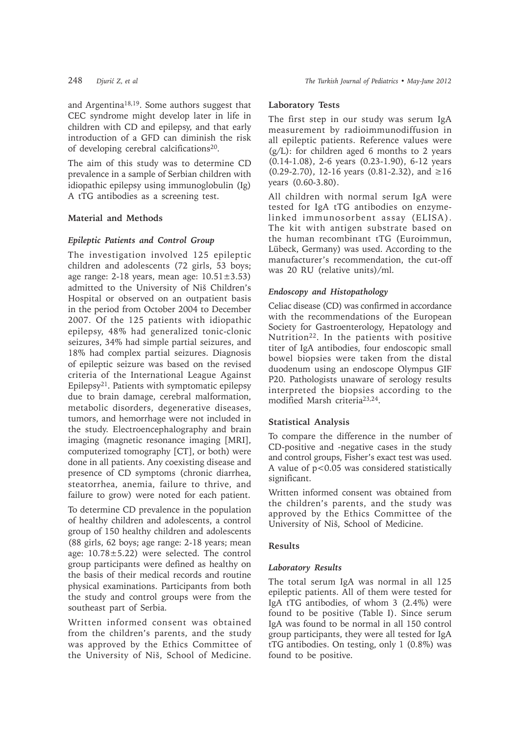and Argentina18,19. Some authors suggest that CEC syndrome might develop later in life in children with CD and epilepsy, and that early introduction of a GFD can diminish the risk of developing cerebral calcifications<sup>20</sup>.

The aim of this study was to determine CD prevalence in a sample of Serbian children with idiopathic epilepsy using immunoglobulin (Ig) A tTG antibodies as a screening test.

# **Material and Methods**

## *Epileptic Patients and Control Group*

The investigation involved 125 epileptic children and adolescents (72 girls, 53 boys; age range:  $2-18$  years, mean age:  $10.51 \pm 3.53$ ) admitted to the University of Niš Children's Hospital or observed on an outpatient basis in the period from October 2004 to December 2007. Of the 125 patients with idiopathic epilepsy, 48% had generalized tonic-clonic seizures, 34% had simple partial seizures, and 18% had complex partial seizures. Diagnosis of epileptic seizure was based on the revised criteria of the International League Against Epilepsy21. Patients with symptomatic epilepsy due to brain damage, cerebral malformation, metabolic disorders, degenerative diseases, tumors, and hemorrhage were not included in the study. Electroencephalography and brain imaging (magnetic resonance imaging [MRI], computerized tomography [CT], or both) were done in all patients. Any coexisting disease and presence of CD symptoms (chronic diarrhea, steatorrhea, anemia, failure to thrive, and failure to grow) were noted for each patient.

To determine CD prevalence in the population of healthy children and adolescents, a control group of 150 healthy children and adolescents (88 girls, 62 boys; age range: 2-18 years; mean age: 10.78±5.22) were selected. The control group participants were defined as healthy on the basis of their medical records and routine physical examinations. Participants from both the study and control groups were from the southeast part of Serbia.

Written informed consent was obtained from the children's parents, and the study was approved by the Ethics Committee of the University of Niš, School of Medicine.

## **Laboratory Tests**

The first step in our study was serum IgA measurement by radioimmunodiffusion in all epileptic patients. Reference values were  $(g/L)$ : for children aged 6 months to 2 years (0.14-1.08), 2-6 years (0.23-1.90), 6-12 years  $(0.29-2.70)$ , 12-16 years  $(0.81-2.32)$ , and  $\geq 16$ years (0.60-3.80).

All children with normal serum IgA were tested for IgA tTG antibodies on enzymelinked immunosorbent assay (ELISA). The kit with antigen substrate based on the human recombinant tTG (Euroimmun, Lübeck, Germany) was used. According to the manufacturer's recommendation, the cut-off was 20 RU (relative units)/ml.

# *Endoscopy and Histopathology*

Celiac disease (CD) was confirmed in accordance with the recommendations of the European Society for Gastroenterology, Hepatology and Nutrition22. In the patients with positive titer of IgA antibodies, four endoscopic small bowel biopsies were taken from the distal duodenum using an endoscope Olympus GIF P20. Pathologists unaware of serology results interpreted the biopsies according to the modified Marsh criteria23,24.

# **Statistical Analysis**

To compare the difference in the number of CD-positive and -negative cases in the study and control groups, Fisher's exact test was used. A value of p*<*0.05 was considered statistically significant.

Written informed consent was obtained from the children's parents, and the study was approved by the Ethics Committee of the University of Niš, School of Medicine.

# **Results**

#### *Laboratory Results*

The total serum IgA was normal in all 125 epileptic patients. All of them were tested for IgA tTG antibodies, of whom 3 (2.4%) were found to be positive (Table I). Since serum IgA was found to be normal in all 150 control group participants, they were all tested for IgA tTG antibodies. On testing, only 1 (0.8%) was found to be positive.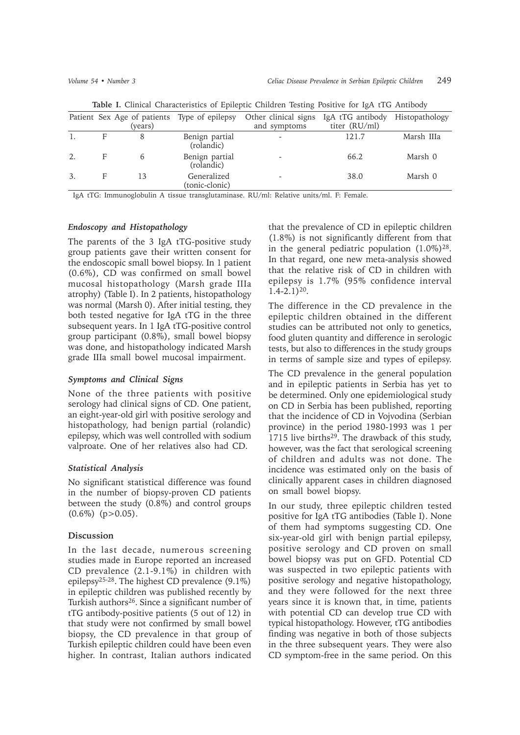|    |   | (years) | Patient Sex Age of patients Type of epilepsy | Other clinical signs<br>and symptoms | IgA tTG antibody<br>titer (RU/ml) | Histopathology |
|----|---|---------|----------------------------------------------|--------------------------------------|-----------------------------------|----------------|
|    |   | 8       | Benign partial<br>(rolandic)                 |                                      | 121.7                             | Marsh IIIa     |
| 2. | F | 6       | Benign partial<br>(rolandic)                 |                                      | 66.2                              | Marsh 0        |
|    | F | 13      | Generalized<br>(tonic-clonic)                |                                      | 38.0                              | Marsh 0        |
|    |   |         |                                              |                                      |                                   |                |

**Table I.** Clinical Characteristics of Epileptic Children Testing Positive for IgA tTG Antibody

IgA tTG: Immunoglobulin A tissue transglutaminase. RU/ml: Relative units/ml. F: Female.

## *Endoscopy and Histopathology*

The parents of the 3 IgA tTG-positive study group patients gave their written consent for the endoscopic small bowel biopsy. In 1 patient (0.6%), CD was confirmed on small bowel mucosal histopathology (Marsh grade IIIa atrophy) (Table I). In 2 patients, histopathology was normal (Marsh 0). After initial testing, they both tested negative for IgA tTG in the three subsequent years. In 1 IgA tTG-positive control group participant (0.8%), small bowel biopsy was done, and histopathology indicated Marsh grade IIIa small bowel mucosal impairment.

#### *Symptoms and Clinical Signs*

None of the three patients with positive serology had clinical signs of CD. One patient, an eight-year-old girl with positive serology and histopathology, had benign partial (rolandic) epilepsy, which was well controlled with sodium valproate. One of her relatives also had CD.

#### *Statistical Analysis*

No significant statistical difference was found in the number of biopsy-proven CD patients between the study (0.8%) and control groups  $(0.6\%)$  (p > 0.05).

#### **Discussion**

In the last decade, numerous screening studies made in Europe reported an increased CD prevalence (2.1-9.1%) in children with epilepsy25-28. The highest CD prevalence (9.1%) in epileptic children was published recently by Turkish authors26. Since a significant number of tTG antibody-positive patients (5 out of 12) in that study were not confirmed by small bowel biopsy, the CD prevalence in that group of Turkish epileptic children could have been even higher. In contrast, Italian authors indicated

that the prevalence of CD in epileptic children (1.8%) is not significantly different from that in the general pediatric population  $(1.0\%)^{28}$ . In that regard, one new meta-analysis showed that the relative risk of CD in children with epilepsy is 1.7% (95% confidence interval  $1.4 - 2.1$ )<sup>20</sup>.

The difference in the CD prevalence in the epileptic children obtained in the different studies can be attributed not only to genetics, food gluten quantity and difference in serologic tests, but also to differences in the study groups in terms of sample size and types of epilepsy.

The CD prevalence in the general population and in epileptic patients in Serbia has yet to be determined. Only one epidemiological study on CD in Serbia has been published, reporting that the incidence of CD in Vojvodina (Serbian province) in the period 1980-1993 was 1 per 1715 live births $29$ . The drawback of this study, however, was the fact that serological screening of children and adults was not done. The incidence was estimated only on the basis of clinically apparent cases in children diagnosed on small bowel biopsy.

In our study, three epileptic children tested positive for IgA tTG antibodies (Table I). None of them had symptoms suggesting CD. One six-year-old girl with benign partial epilepsy, positive serology and CD proven on small bowel biopsy was put on GFD. Potential CD was suspected in two epileptic patients with positive serology and negative histopathology, and they were followed for the next three years since it is known that, in time, patients with potential CD can develop true CD with typical histopathology. However, tTG antibodies finding was negative in both of those subjects in the three subsequent years. They were also CD symptom-free in the same period. On this